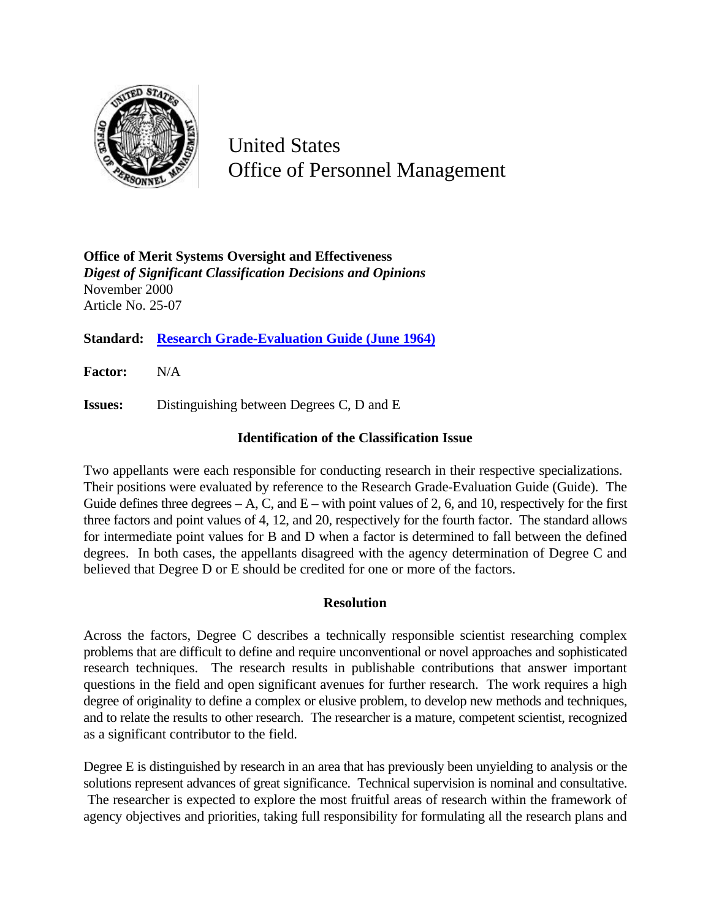

United States Office of Personnel Management

**Office of Merit Systems Oversight and Effectiveness** *Digest of Significant Classification Decisions and Opinions* November 2000 Article No. 25-07

**Standard: Research Grade-Evaluation Guide (June 1964)**

**Factor:** N/A

**Issues:** Distinguishing between Degrees C, D and E

## **Identification of the Classification Issue**

Two appellants were each responsible for conducting research in their respective specializations. Their positions were evaluated by reference to the Research Grade-Evaluation Guide (Guide). The Guide defines three degrees  $-A$ , C, and  $E$  – with point values of 2, 6, and 10, respectively for the first three factors and point values of 4, 12, and 20, respectively for the fourth factor. The standard allows for intermediate point values for B and D when a factor is determined to fall between the defined degrees. In both cases, the appellants disagreed with the agency determination of Degree C and believed that Degree D or E should be credited for one or more of the factors.

## **Resolution**

Across the factors, Degree C describes a technically responsible scientist researching complex problems that are difficult to define and require unconventional or novel approaches and sophisticated research techniques. The research results in publishable contributions that answer important questions in the field and open significant avenues for further research. The work requires a high degree of originality to define a complex or elusive problem, to develop new methods and techniques, and to relate the results to other research. The researcher is a mature, competent scientist, recognized as a significant contributor to the field.

Degree E is distinguished by research in an area that has previously been unyielding to analysis or the solutions represent advances of great significance. Technical supervision is nominal and consultative. The researcher is expected to explore the most fruitful areas of research within the framework of agency objectives and priorities, taking full responsibility for formulating all the research plans and